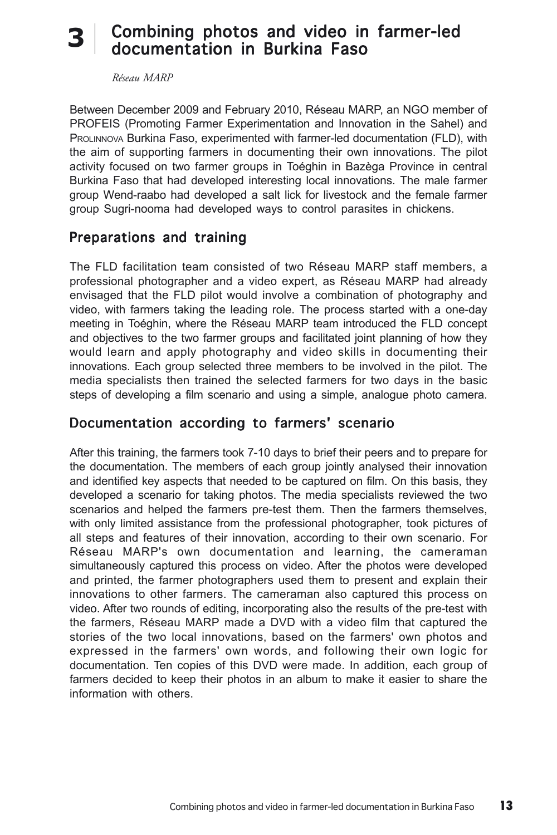# 3 Combining photos and video in farmer-led<br>documentation in Burkina Easo documentation in Burkina Faso

*Réseau MARP*

Between December 2009 and February 2010, Réseau MARP, an NGO member of PROFEIS (Promoting Farmer Experimentation and Innovation in the Sahel) and PROLINNOVA Burkina Faso, experimented with farmer-led documentation (FLD), with the aim of supporting farmers in documenting their own innovations. The pilot activity focused on two farmer groups in Toéghin in Bazèga Province in central Burkina Faso that had developed interesting local innovations. The male farmer group Wend-raabo had developed a salt lick for livestock and the female farmer group Sugri-nooma had developed ways to control parasites in chickens.

#### Preparations and training

The FLD facilitation team consisted of two Réseau MARP staff members, a professional photographer and a video expert, as Réseau MARP had already envisaged that the FLD pilot would involve a combination of photography and video, with farmers taking the leading role. The process started with a one-day meeting in Toéghin, where the Réseau MARP team introduced the FLD concept and objectives to the two farmer groups and facilitated joint planning of how they would learn and apply photography and video skills in documenting their innovations. Each group selected three members to be involved in the pilot. The media specialists then trained the selected farmers for two days in the basic steps of developing a film scenario and using a simple, analogue photo camera.

#### Documentation according to farmers' scenario

After this training, the farmers took 7-10 days to brief their peers and to prepare for the documentation. The members of each group jointly analysed their innovation and identified key aspects that needed to be captured on film. On this basis, they developed a scenario for taking photos. The media specialists reviewed the two scenarios and helped the farmers pre-test them. Then the farmers themselves, with only limited assistance from the professional photographer, took pictures of all steps and features of their innovation, according to their own scenario. For Réseau MARP's own documentation and learning, the cameraman simultaneously captured this process on video. After the photos were developed and printed, the farmer photographers used them to present and explain their innovations to other farmers. The cameraman also captured this process on video. After two rounds of editing, incorporating also the results of the pre-test with the farmers, Réseau MARP made a DVD with a video film that captured the stories of the two local innovations, based on the farmers' own photos and expressed in the farmers' own words, and following their own logic for documentation. Ten copies of this DVD were made. In addition, each group of farmers decided to keep their photos in an album to make it easier to share the information with others.